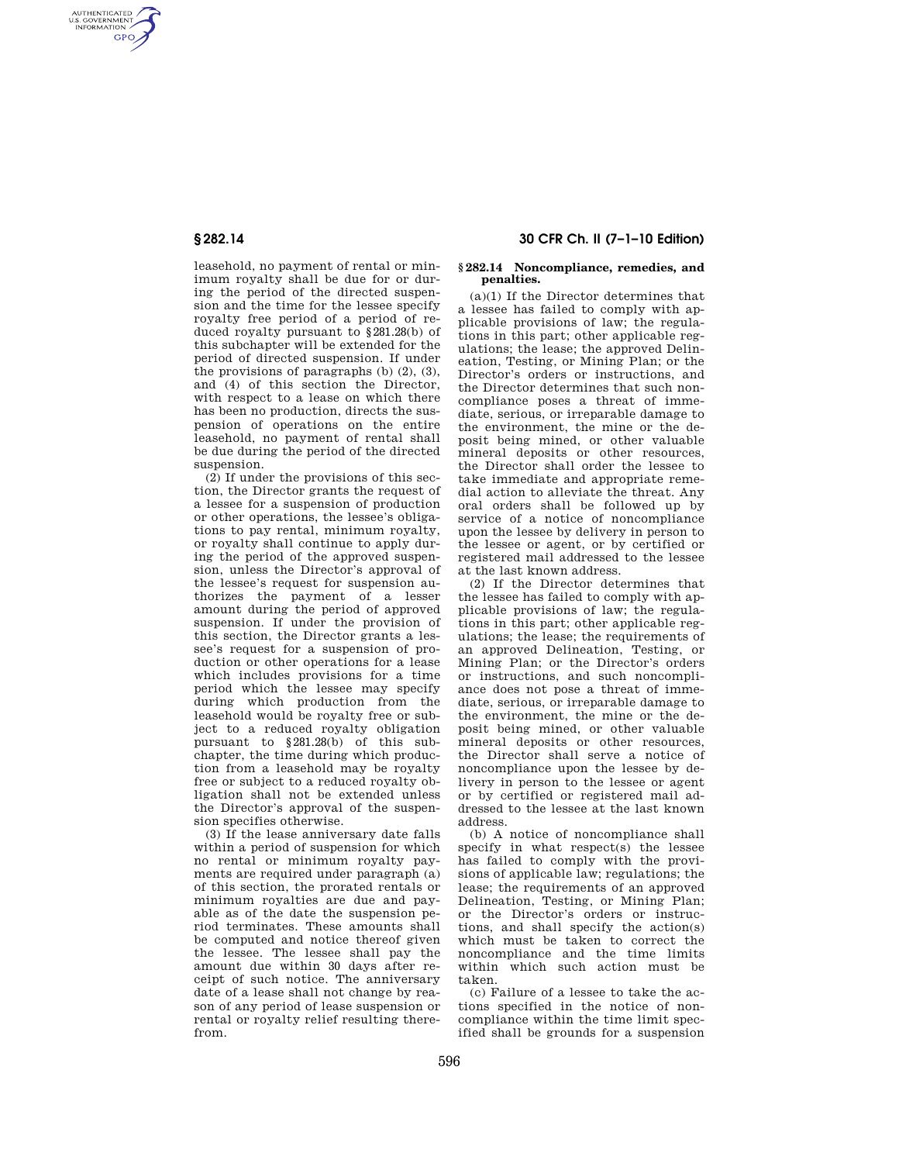AUTHENTICATED<br>U.S. GOVERNMENT<br>INFORMATION **GPO** 

> leasehold, no payment of rental or minimum royalty shall be due for or during the period of the directed suspension and the time for the lessee specify royalty free period of a period of reduced royalty pursuant to §281.28(b) of this subchapter will be extended for the period of directed suspension. If under the provisions of paragraphs  $(b)$   $(2)$ ,  $(3)$ , and (4) of this section the Director, with respect to a lease on which there has been no production, directs the suspension of operations on the entire leasehold, no payment of rental shall be due during the period of the directed suspension.

> (2) If under the provisions of this section, the Director grants the request of a lessee for a suspension of production or other operations, the lessee's obligations to pay rental, minimum royalty, or royalty shall continue to apply during the period of the approved suspension, unless the Director's approval of the lessee's request for suspension authorizes the payment of a lesser amount during the period of approved suspension. If under the provision of this section, the Director grants a lessee's request for a suspension of production or other operations for a lease which includes provisions for a time period which the lessee may specify during which production from the leasehold would be royalty free or subject to a reduced royalty obligation pursuant to §281.28(b) of this subchapter, the time during which production from a leasehold may be royalty free or subject to a reduced royalty obligation shall not be extended unless the Director's approval of the suspension specifies otherwise.

> (3) If the lease anniversary date falls within a period of suspension for which no rental or minimum royalty payments are required under paragraph (a) of this section, the prorated rentals or minimum royalties are due and payable as of the date the suspension period terminates. These amounts shall be computed and notice thereof given the lessee. The lessee shall pay the amount due within 30 days after receipt of such notice. The anniversary date of a lease shall not change by reason of any period of lease suspension or rental or royalty relief resulting therefrom.

# **§ 282.14 30 CFR Ch. II (7–1–10 Edition)**

### **§ 282.14 Noncompliance, remedies, and penalties.**

(a)(1) If the Director determines that a lessee has failed to comply with applicable provisions of law; the regulations in this part; other applicable regulations; the lease; the approved Delineation, Testing, or Mining Plan; or the Director's orders or instructions, and the Director determines that such noncompliance poses a threat of immediate, serious, or irreparable damage to the environment, the mine or the deposit being mined, or other valuable mineral deposits or other resources, the Director shall order the lessee to take immediate and appropriate remedial action to alleviate the threat. Any oral orders shall be followed up by service of a notice of noncompliance upon the lessee by delivery in person to the lessee or agent, or by certified or registered mail addressed to the lessee at the last known address.

(2) If the Director determines that the lessee has failed to comply with applicable provisions of law; the regulations in this part; other applicable regulations; the lease; the requirements of an approved Delineation, Testing, or Mining Plan; or the Director's orders or instructions, and such noncompliance does not pose a threat of immediate, serious, or irreparable damage to the environment, the mine or the deposit being mined, or other valuable mineral deposits or other resources, the Director shall serve a notice of noncompliance upon the lessee by delivery in person to the lessee or agent or by certified or registered mail addressed to the lessee at the last known address.

(b) A notice of noncompliance shall specify in what respect(s) the lessee has failed to comply with the provisions of applicable law; regulations; the lease; the requirements of an approved Delineation, Testing, or Mining Plan; or the Director's orders or instructions, and shall specify the action(s) which must be taken to correct the noncompliance and the time limits within which such action must be taken.

(c) Failure of a lessee to take the actions specified in the notice of noncompliance within the time limit specified shall be grounds for a suspension